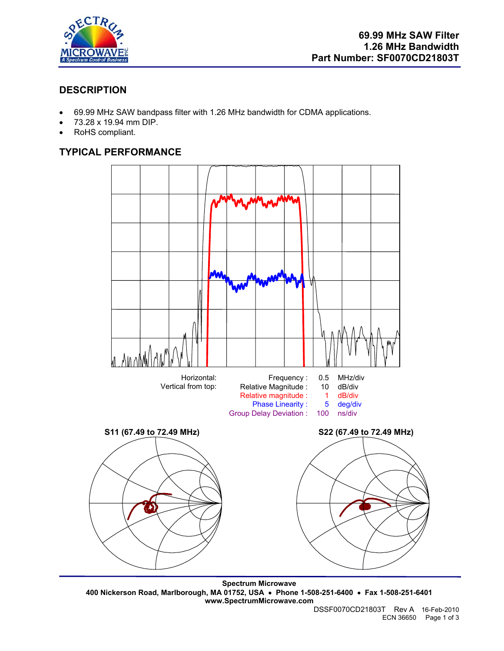

# **DESCRIPTION**

- 69.99 MHz SAW bandpass filter with 1.26 MHz bandwidth for CDMA applications.
- 73.28 x 19.94 mm DIP.
- RoHS compliant.

# **TYPICAL PERFORMANCE**



**Spectrum Microwave 400 Nickerson Road, Marlborough, MA 01752, USA** • **Phone 1-508-251-6400** • **Fax 1-508-251-6401 www.SpectrumMicrowave.com**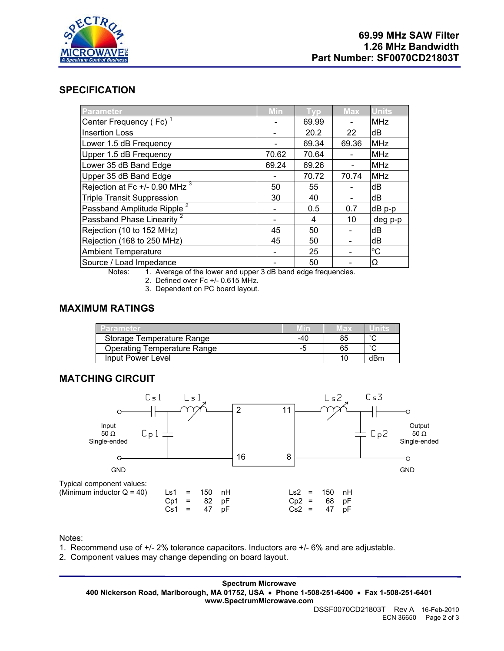

### **SPECIFICATION**

| <b>Parameter</b>                       | <b>Min</b> | Typ   | <b>Max</b> | <b>Units</b> |
|----------------------------------------|------------|-------|------------|--------------|
| Center Frequency (Fc) <sup>1</sup>     |            | 69.99 |            | <b>MHz</b>   |
| <b>Insertion Loss</b>                  |            | 20.2  | 22         | dB           |
| Lower 1.5 dB Frequency                 |            | 69.34 | 69.36      | <b>MHz</b>   |
| Upper 1.5 dB Frequency                 | 70.62      | 70.64 |            | <b>MHz</b>   |
| Lower 35 dB Band Edge                  | 69.24      | 69.26 |            | <b>MHz</b>   |
| Upper 35 dB Band Edge                  |            | 70.72 | 70.74      | <b>MHz</b>   |
| Rejection at Fc +/- 0.90 MHz $^3$      | 50         | 55    |            | dB           |
| <b>Triple Transit Suppression</b>      | 30         | 40    |            | dB           |
| Passband Amplitude Ripple <sup>2</sup> |            | 0.5   | 0.7        | dB p-p       |
| Passband Phase Linearity <sup>2</sup>  |            | 4     | 10         | deg p-p      |
| Rejection (10 to 152 MHz)              | 45         | 50    |            | dB           |
| Rejection (168 to 250 MHz)             | 45         | 50    |            | dB           |
| <b>Ambient Temperature</b>             |            | 25    |            | °C           |
| Source / Load Impedance                |            | 50    |            | Ω            |

Notes: 1. Average of the lower and upper 3 dB band edge frequencies.

2. Defined over Fc +/- 0.615 MHz.

3. Dependent on PC board layout.

## **MAXIMUM RATINGS**

| Parameter                          |     | lax |        |
|------------------------------------|-----|-----|--------|
| Storage Temperature Range          | -40 | 85  | $\sim$ |
| <b>Operating Temperature Range</b> |     | 65  | $\sim$ |
| Input Power Level                  |     | 10  | dBm    |

#### **MATCHING CIRCUIT**



Notes:

1. Recommend use of +/- 2% tolerance capacitors. Inductors are +/- 6% and are adjustable.

2. Component values may change depending on board layout.

**Spectrum Microwave 400 Nickerson Road, Marlborough, MA 01752, USA** • **Phone 1-508-251-6400** • **Fax 1-508-251-6401 www.SpectrumMicrowave.com**